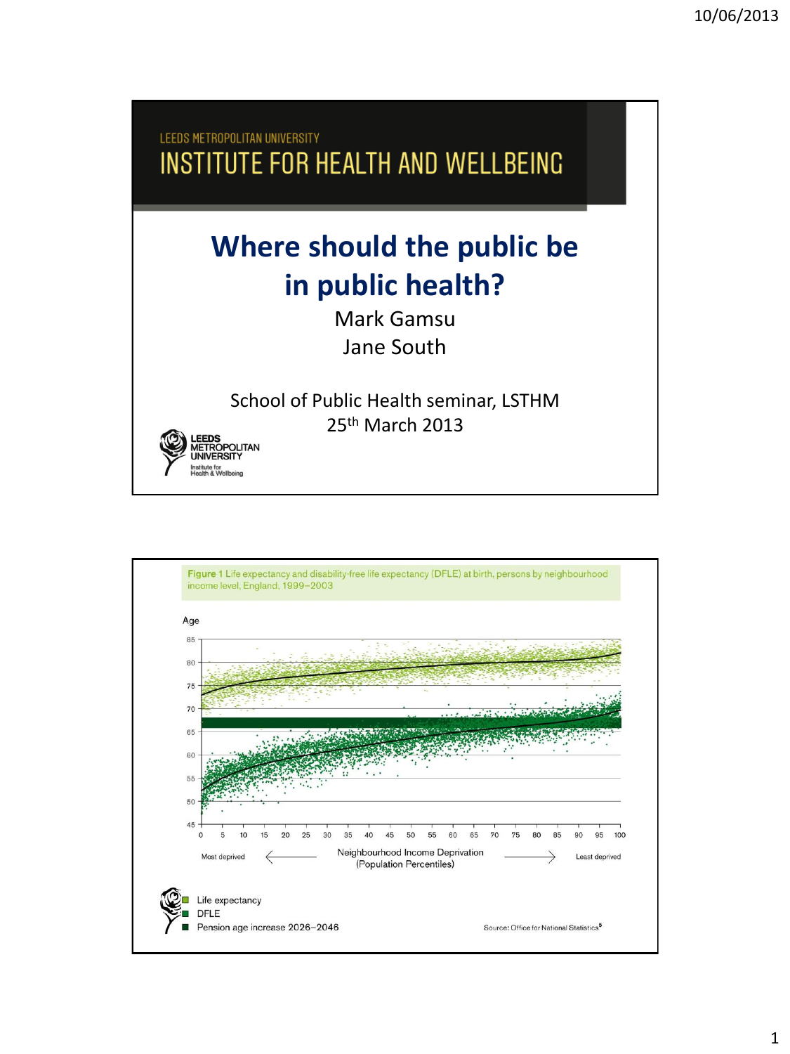LEEDS METROPOLITAN UNIVERSITY INSTITUTE FOR HEALTH AND WELLBEING **Where should the public be in public health?** Mark Gamsu Jane South School of Public Health seminar, LSTHM 25th March 2013EEDS **IETROPOLITAN UNIVERSIT** 

stitute for<br>เalth & Wellbeing

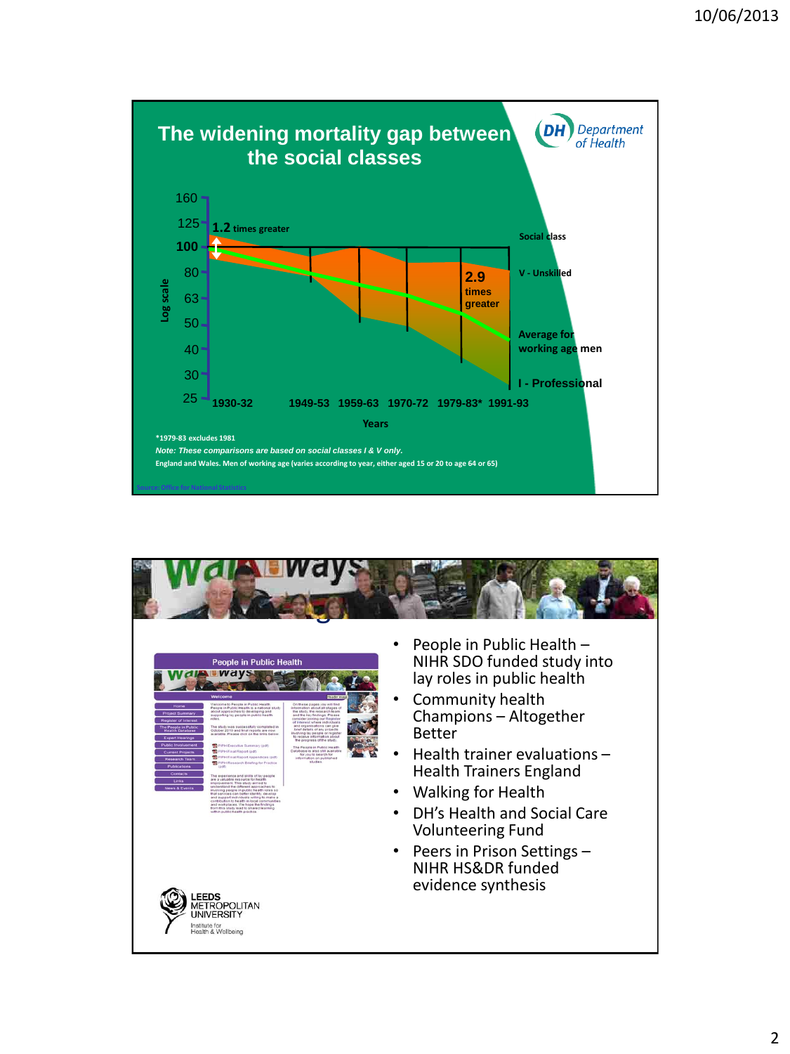

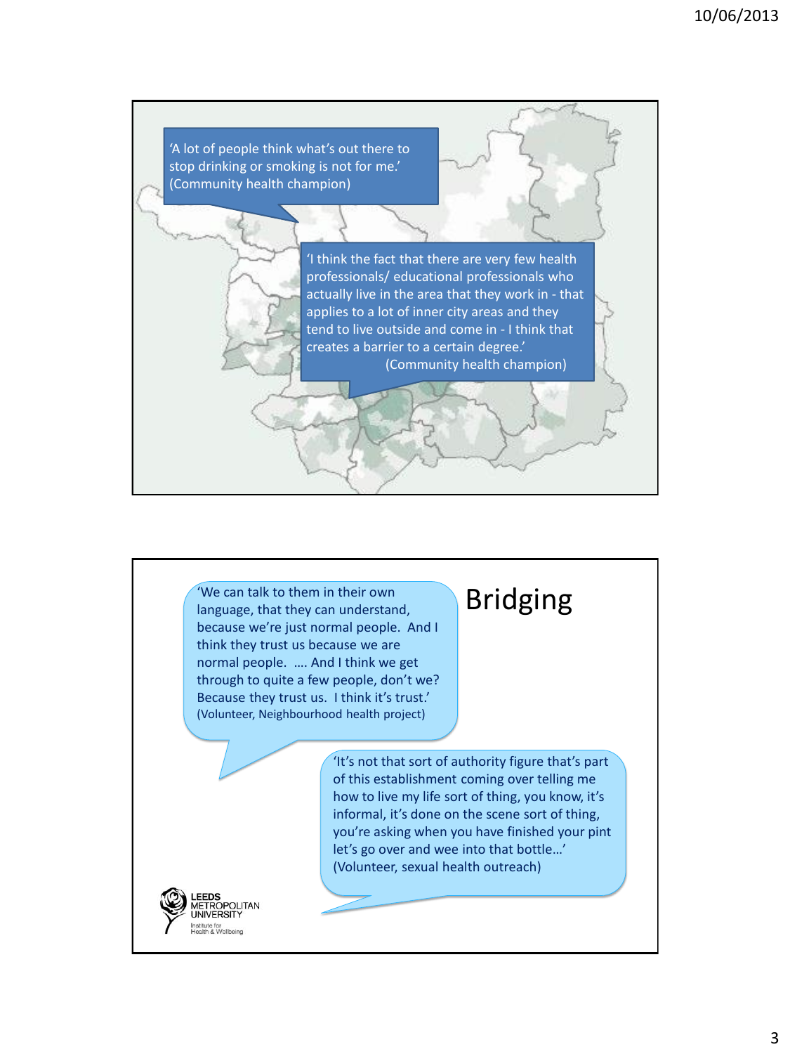

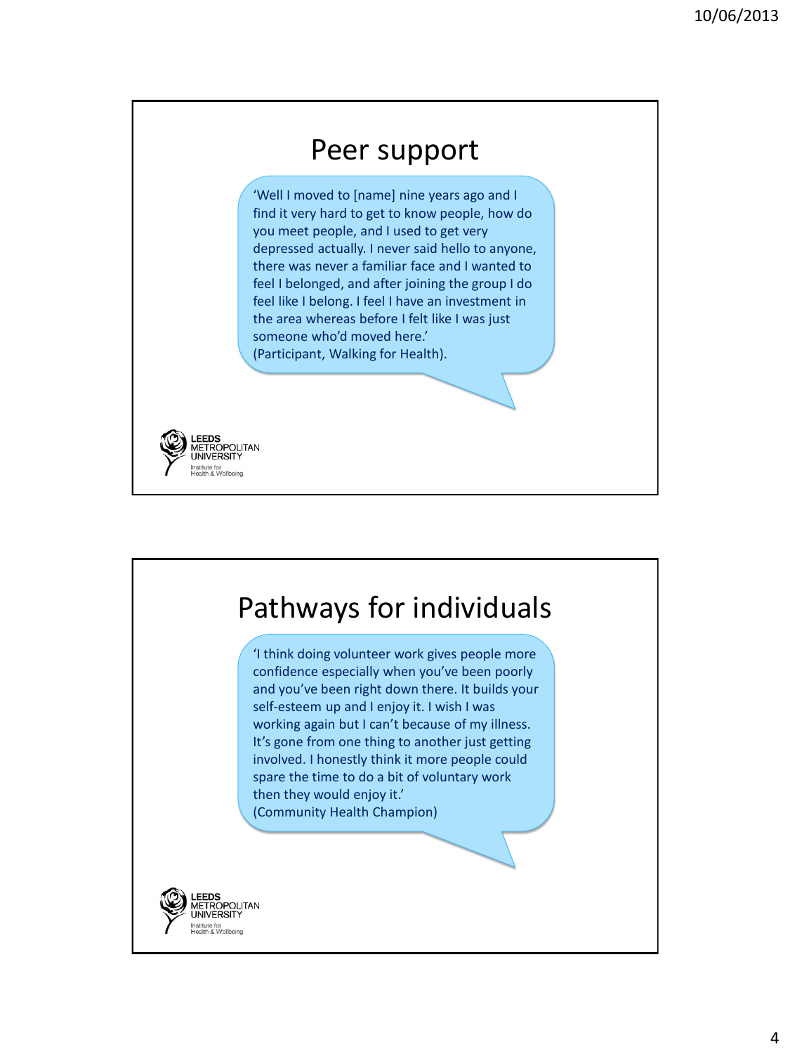## Peer support

'Well I moved to [name] nine years ago and I find it very hard to get to know people, how do you meet people, and I used to get very depressed actually. I never said hello to anyone, there was never a familiar face and I wanted to feel I belonged, and after joining the group I do feel like I belong. I feel I have an investment in the area whereas before I felt like I was just someone who'd moved here.' (Participant, Walking for Health).



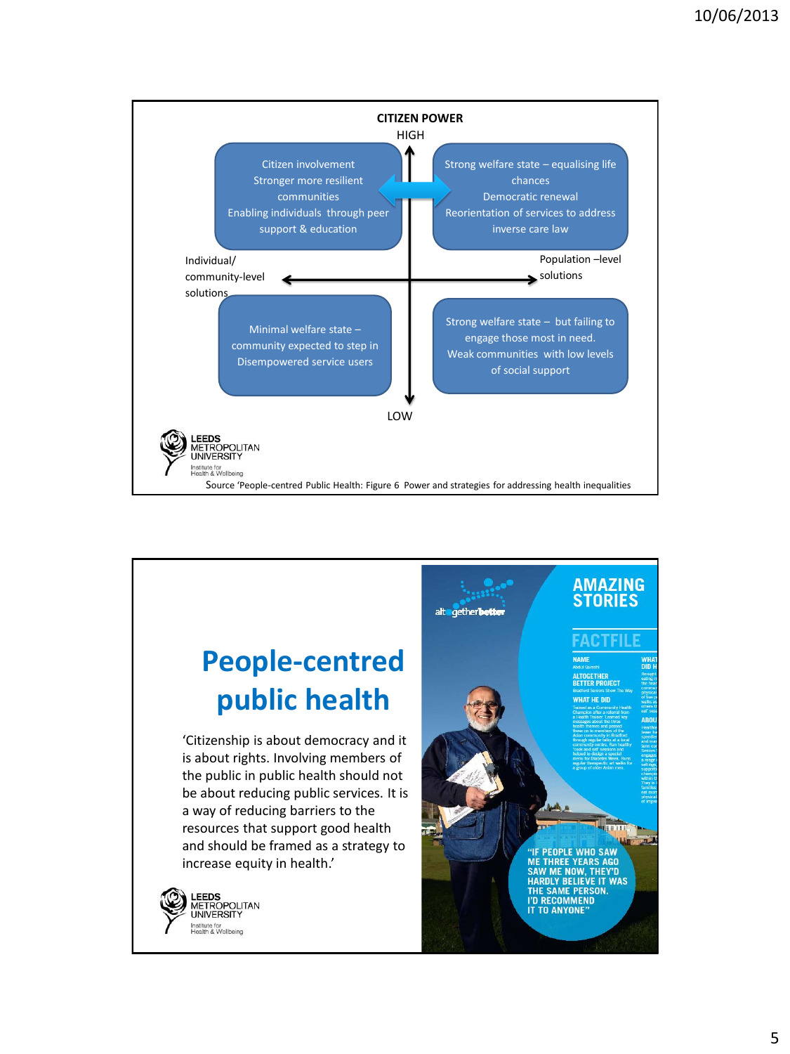

## **People-centred public health**

'Citizenship is about democracy and it is about rights. Involving members of the public in public health should not be about reducing public services. It is a way of reducing barriers to the resources that support good health and should be framed as a strategy to increase equity in health.'



## **AMAZING STORIES** HAT HE DID

alt getherbott

**PEOPLE WHO SAW ME THREE YEARS AGO SAW ME NOW, THEY'D<br>HARDLY BELIEVE IT WAS<br>THE SAME PERSON.<br>I'D RECOMMEND IT TO ANYONE**